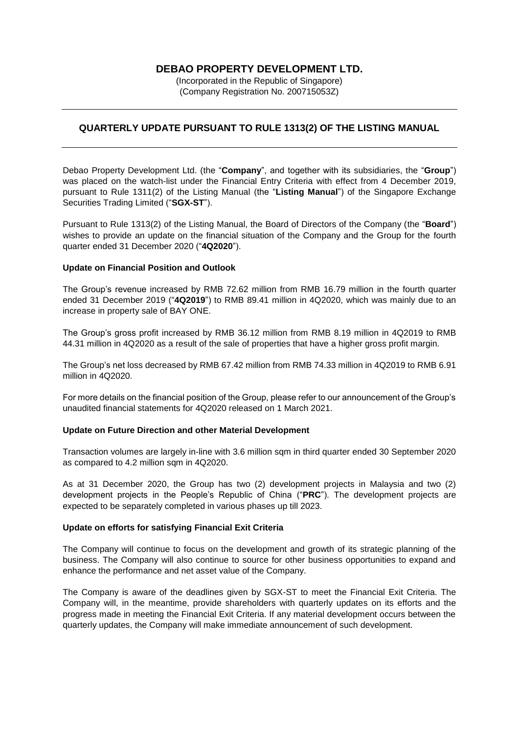# **DEBAO PROPERTY DEVELOPMENT LTD.**

(Incorporated in the Republic of Singapore) (Company Registration No. 200715053Z)

## **QUARTERLY UPDATE PURSUANT TO RULE 1313(2) OF THE LISTING MANUAL**

Debao Property Development Ltd. (the "**Company**", and together with its subsidiaries, the "**Group**") was placed on the watch-list under the Financial Entry Criteria with effect from 4 December 2019, pursuant to Rule 1311(2) of the Listing Manual (the "**Listing Manual**") of the Singapore Exchange Securities Trading Limited ("**SGX-ST**").

Pursuant to Rule 1313(2) of the Listing Manual, the Board of Directors of the Company (the "**Board**") wishes to provide an update on the financial situation of the Company and the Group for the fourth quarter ended 31 December 2020 ("**4Q2020**").

### **Update on Financial Position and Outlook**

The Group's revenue increased by RMB 72.62 million from RMB 16.79 million in the fourth quarter ended 31 December 2019 ("**4Q2019**") to RMB 89.41 million in 4Q2020, which was mainly due to an increase in property sale of BAY ONE.

The Group's gross profit increased by RMB 36.12 million from RMB 8.19 million in 4Q2019 to RMB 44.31 million in 4Q2020 as a result of the sale of properties that have a higher gross profit margin.

The Group's net loss decreased by RMB 67.42 million from RMB 74.33 million in 4Q2019 to RMB 6.91 million in 4Q2020.

For more details on the financial position of the Group, please refer to our announcement of the Group's unaudited financial statements for 4Q2020 released on 1 March 2021.

### **Update on Future Direction and other Material Development**

Transaction volumes are largely in-line with 3.6 million sqm in third quarter ended 30 September 2020 as compared to 4.2 million sqm in 4Q2020.

As at 31 December 2020, the Group has two (2) development projects in Malaysia and two (2) development projects in the People's Republic of China ("**PRC**"). The development projects are expected to be separately completed in various phases up till 2023.

### **Update on efforts for satisfying Financial Exit Criteria**

The Company will continue to focus on the development and growth of its strategic planning of the business. The Company will also continue to source for other business opportunities to expand and enhance the performance and net asset value of the Company.

The Company is aware of the deadlines given by SGX-ST to meet the Financial Exit Criteria. The Company will, in the meantime, provide shareholders with quarterly updates on its efforts and the progress made in meeting the Financial Exit Criteria. If any material development occurs between the quarterly updates, the Company will make immediate announcement of such development.